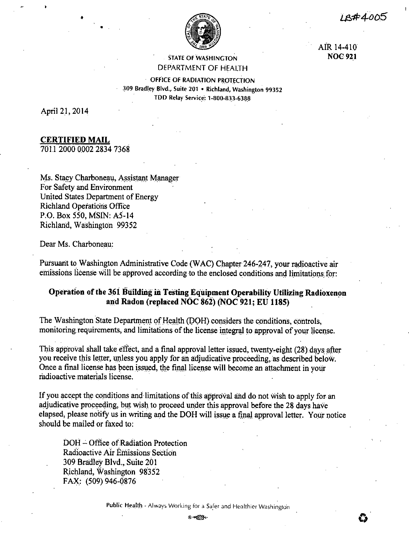18#4005

AiR 14-410 **NOC921** 



STATE OF WASHINGTON DEPARTMENT OF HEALTH

OFFICE OF RADIATION PROTECTION 309 Bradley Blvd., Suite 201 • Richland, Washington 99352 TDD Relay Service: 1-800-833-6388

April 21, 2014

## **CERTIFIED MAIL**

7011 2000 0002 2834 7368

•

•

Ms. Stacy Charboneau, Assistant Manager For Safety and Environment United States Department of Energy Richland Operations Office P.O. Box 550, **MSIN:** A5-14 Richland, Washington 99352

Dear Ms. Charboneau:

Pursuant to Washington Administrative Code (WAC) Chapter 246-247, your radioactive air emissions license will be approved according to the enclosed conditions and limitations for:

# **Operation of the 361 Building in Testing Equipment Operability Utilizing Radioxenon and Radon (replaced NOC 862) (NOC 921; EU 1185)**

The Washington State Department of Health (DOH) considers the conditions, controls, monitoring requirements, and limitations of the license integral to approval of your license.

This approval shall take effect, and a final approval letter issued, twenty-eight (28) days after you receive this letter, unless you apply for an adjudicative proceeding, as described below. Once a final license has been issued, the final license will become an attachment in your radioactive materials license. ·

If you accept the conditions and limitations of this approval and do not wish to apply for an adjudicative proceeding, but wish to proceed under this approval before the 28 days have elapsed, please notify us in writing and the DOH will issue a final approval letter. Your notice should be mailed or faxed to:

DOH - Office of Radiation Protection Radioactive Afr Emissions Section 309 Bradley Blvd., Suite 20 I Richland, Washington 98352 FAX: (509) 946-0876

Public Health - Always Working for a Safer and Healthier Washington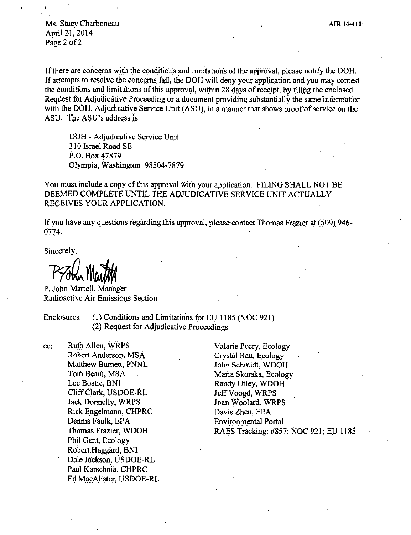Ms. Stacy Charboneau *AIR 14-410* April 21, 2014 Page 2 of 2

If there are concerns with the conditions and limitations of the approval, please notify the DOH. If attempts to resolve the concerns fail, the DOH will deny your application and you may contest the conditions and limitations of this approval, within 28 days of receipt, by filing the enclosed Request for Adjudicative Proceeding or a document providing substantially the same information with the DOH, Adjudicative Service Unit (ASU), in a manner that shows proof of service on the ASU. The ASU's address is:

DOH - Adjudicative Service Unit 310 Israel Road SE P.O. Box 47879 Olympia, Washington 98504-7879

You must include a copy of this approval with your application. FILING SHALL NOT BE DEEMED COMPLETE UNTIL THE ADJUDICATIVE SERVICE UNIT ACTUALLY RECEIVES YOUR APPLICATION.

If you have any questions regarding this approval, please contact Thomas Frazier at (509) 946-0774.

Sincerely,

7 Fol Martin

P. John Martell, Manager Radioactive **Air** Emissions Section

Enclosures: (1) Conditions and Limitations for EU 1185 (NOC 921) (2) Request for Adjudicative Proceedings

cc: Ruth Allen, WRPS Robert Anderson, MSA Matthew Barnett, PNNL Tom Beam, MSA Lee Bostic, BNI Cliff Clark, USDOE-RL Jack Donnelly, WRPS Rick Engelmann, CHPRC Dennis Faulk, EPA Thomas Frazier, WDOH Phil Gent, Ecology Robert.Haggard, BNI Dale Jackson, USDOE-RL Paul Karschnia, CHPRC Ed MacAlister, USDOE-RL

Valarie Peery, Ecology Crystal Rau, Ecology John Schmidt, WDOH Maria Skorska, Ecology Randy Utley, WDOH - Jeff Voogd, WRPS Joan Woolard, WRPS Davis Zhen, EPA Environmental Portal RAES Tracking: #857; NOC 921; EU 1185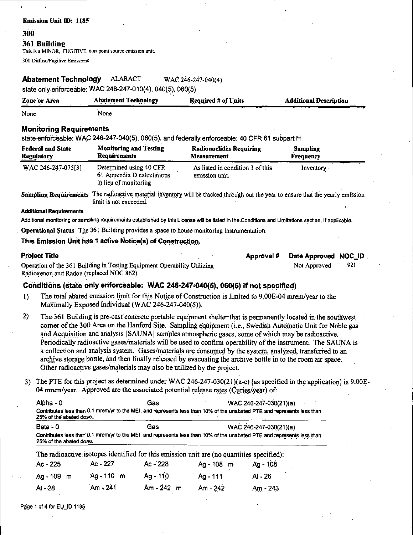#### **Emission Unit ID: 1185**

#### 300

## 361 Building

This is a MINOR, FUGITIVE, non-point source emission unit.

300 Diffuse/Fugitive Emissions

#### **Abatement Technology ALARACT** WAC 246-247-040(4)

state only enforceable: WAC 246-247-010(4), 040(5), 060(5)

| <b>Zone or Area</b> | <b>Abatement Technology</b> | <b>Required # of Units</b> | <b>Additional Description</b> |  |
|---------------------|-----------------------------|----------------------------|-------------------------------|--|
| None                | <b>None</b>                 |                            |                               |  |

## **Monitoring Requirements**

state enforceable: WAC 246-247-040(5), 060(5), and federally enforceable: 40 CFR 61 subpart H

| <b>Federal and State</b> | <b>Monitoring and Testing</b>                                                  | <b>Radionuclides Requiring</b>                     | <b>Sampling</b>  |
|--------------------------|--------------------------------------------------------------------------------|----------------------------------------------------|------------------|
| <b>Regulatory</b>        | <b>Requirements</b>                                                            | <b>Measurement</b>                                 | <b>Frequency</b> |
| WAC 246-247-075[3]       | Determined using 40 CFR<br>61 Appendix D calculations<br>in lieu of monitoring | As listed in condition 3 of this<br>emission unit. | Inventory -      |

Sampling Requirements The radioactive material inventory will be tracked through out the year to ensure that the yearly emission limit is not exceeded.

#### **Additional Requirements**

Additional monitoring or sampling requirements established by this License will be listed in the Conditions and Limitations section, if applicable.

**Operational Status** The 361 Building provides a space to house monitoring instrumentation.

## This Emission Unit has 1 active Notice(s) of Construction.

#### Draiget Title

| inleri tirle                                                             |  | Approval # Date Approved NOC ID |      |
|--------------------------------------------------------------------------|--|---------------------------------|------|
| Operation of the 361 Building in Testing Equipment Operability Utilizing |  | Not Approved                    | -921 |
| Radioxenon and Radon (replaced NOC 862)                                  |  |                                 |      |

## Conditions (state only enforceable: WAC 246-247-040(5), 060(5) if not specified)

- The total abated emission limit for this Notice of Construction is limited to 9.00E-04 mrem/year to the  $1)$ Maximally Exposed Individual (WAC 246-247-040(5)).
- $2<sub>2</sub>$ The 361 Building is pre-cast concrete portable equipment shelter that is permanently located in the southwest corner of the 300 Area on the Hanford Site. Sampling equipment (i.e., Swedish Automatic Unit for Noble gas and Acquisition and analysis [SAUNA] samples atmospheric gases, some of which may be radioactive. Periodically radioactive gases/materials will be used to confirm operability of the instrument. The SAUNA is a collection and analysis system. Gases/materials are consumed by the system, analyzed, transferred to an archive storage bottle, and then finally released by evacuating the archive bottle in to the room air space. Other radioactive gases/materials may also be utilized by the project.
- 3) The PTE for this project as determined under WAC 246-247-030(21)(a-e) [as specified in the application] is  $9.00E-$ 04 mrem/year. Approved are the associated potential release rates (Curies/year) of:

| Alpha - 0               | Gas | WAC 246-247-030(21)(a)                                                                                                  |
|-------------------------|-----|-------------------------------------------------------------------------------------------------------------------------|
|                         |     | Contributes less than 0.1 mrem/yr to the MEI, and represents less than 10% of the unabated PTE and represents less than |
| 25% of the abated dose. |     |                                                                                                                         |

| Beta - 0                | Gas | WAC 246-247-030(21)(a)                                                                                                  |
|-------------------------|-----|-------------------------------------------------------------------------------------------------------------------------|
| 25% of the abated dose. |     | Contributes less than 0.1 mrem/yr to the MEI, and represents less than 10% of the unabated PTE and represents less than |

The radioactive isotopes identified for this emission unit are (no quantities specified):

| Ac - 225     | Ac - 227   | Ac - 228     | Ag - 108 m  | Ag - 108 |
|--------------|------------|--------------|-------------|----------|
| $Aq - 109$ m | Ag - 110 m | $Aq - 110$   | $AAq - 111$ | AI - 26  |
| AI - 28      | $Am - 241$ | $Am - 242 m$ | $Am - 242$  | Am - 243 |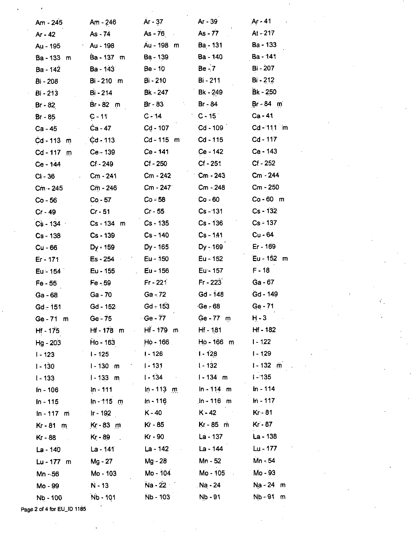| Am - 245        | Am - 246     | Ar - 37                  | Ar - 39         | $Ar - 41$                    |
|-----------------|--------------|--------------------------|-----------------|------------------------------|
| Ar - 42         | As - 74      | As - 76                  | $As - 77$       | At - 217                     |
| Au - 195        | Au - 198     | Au - 198 m               | Ba - 131        | Ba - 133                     |
| Ba - 133 m      | Ba - 137 m   | Ba - 139                 | Ba - 140        | Ba - 141                     |
| Ba - 142        | $Ba - 143$   | $Be - 10$                | $Be - 7$        | Bi - 207                     |
| Bi - 208        | Bi-210 m     | Bi - 210                 | Bi - 211        | $Bi - 212$                   |
| Bi - 213        | Bi - 214     | Bk - 247                 | $Bk - 249$      | Bk - 250                     |
| $Br - 82$       | $Br - 82$ m  | Br - 83                  | Br - 84         | Br - 84 m                    |
| <b>Br</b> - 85  | $C - 11$     | $C - 14$                 | $C - 15$        | $Ca - 41$                    |
| Ca - 45         | Ca - 47      | Cd - 107                 | $Cd - 109$      | $Cd - 111$ m                 |
| Cd-113 m        | $Cd - 113$   | Cd-115 m                 | $Cd - 115$      | $Cd - 117$                   |
| Cd-117 m        | $Ce - 139$   | Ce - 141                 | Ce - 142        | Ce - 143                     |
| $Ce - 144$      | $Cf - 249$   | Cf - 250                 | $Cf - 251$      | Cf - 252                     |
| $CI - 36$       | $Cm - 241$   | Cm - 242                 | $Cm - 243$      | Cm - 244                     |
| Cm - 245        | Cm - 246     | $Cm - 247$               | Cm - 248        | Cm - 250                     |
| $Co - 56$       | $Co - 57$    | $Co = 58$                | $Co - 60$       | Co-60 m                      |
| $Cr - 49$       | $Cr - 51$    | $Cr-55$                  | $Cs - 131$      | $Cs - 132$                   |
| $Cs - 134$      | $Cs - 134$ m | $Cs - 135$               | $Cs - 136$      | $Cs - 137$                   |
| Cs - 138        | Cs-139       | Cs - 140                 | $Cs - 141$      | Cu - 64                      |
| Cu - 66         | $Dy = 159$   | Dy - 165                 | Dy - 169        | Er - 169                     |
| $Er - 171$      | Es - 254     | Eu - 150                 | Eu - 152        | Eu - 152<br>m                |
| Eu - 154        | Eu - 155     | Eu - 156                 | Eu - 157        | $F - 18$                     |
| Fe - 55         | Fe - 59      | $Fr - 221$               | $Fr - 223$      | Ga - 67                      |
| Ga - 68         | Ga - 70      | $Ga - 72$                | Gd - 148        | Gd - 149                     |
| $Gd - 151$      | Gd - 152     | Gd - 153                 | $Ge - 68$       | Ge-71                        |
| `Ge - 71   m    | $Ge - 75$    | $Ge - 77$                | Ge - 77 m       | $H - 3$                      |
| $Hf - 175$      |              | Hf-178 m Hf-179 m Hf-181 |                 | Hf - 182                     |
| $Hg - 203$      | Ho - 163     | Ho - 166                 | Ho-166 m        | $1 - 122$                    |
| $1 - 123$       | $1 - 125$    | $1 - 126$                | $1 - 128$       | $1 - 129$                    |
| $1 - 130$       | $1 - 130$ m  | l - 131                  | $1 - 132$       | $1 - 132$ m                  |
| $1 - 133$       | $1 - 133$ m  | $1 - 134$                | $1 - 134$ m     | $1 - 135$                    |
| In - 106        | $1n - 111$   | $ln - 113$ m             | $ln - 114$ m    | In - 114                     |
| In - 115        | $ln - 115$ m | $ln - 116$               | $ln - 116$ m    | $In - 117$                   |
| $In - 117 \, m$ | lr - 192     | K - 40                   | $K - 42$        | Kr - 81                      |
| Kr - 81<br>m    | $Kr - 83$ m  | Kr - 85                  | $Kr - 85$ m     | Kr - 87                      |
| Kr - 88         | $Kr - 89$    | Kr - 90                  | La - 137        | La - 138                     |
| <b>La - 140</b> | La - 141     | $La - 142$               | <b>La - 144</b> | $Lu - 177$                   |
| Lu - 177 m      | Mg - 27      | Mg - 28                  | Mn - 52         | $\overline{\text{M}}$ n - 54 |
| Mn - 56         | Mo - 103     | Mo - 104                 | Mo - 105        | Mo - 93                      |
| Mo - 99         | $N - 13$     | $Na - 22$                | Na - 24         | Na - 24 m                    |
| Nb - 100        | Nb - 101     | Nb - 103                 | Nb - 91         | Nb - 91 m                    |

Page 2 of 4 for EU\_ID 1185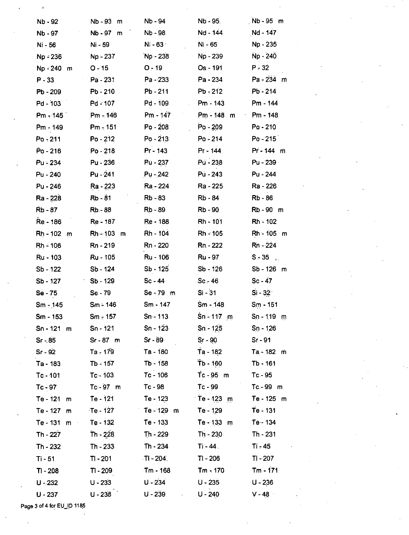| Nb - 92                               | Nb - 93<br>m   | Nb - 94      | Nb - 95.         | Mb-95 m          |
|---------------------------------------|----------------|--------------|------------------|------------------|
| Nb - 97                               | Nb - 97<br>m   | Nb - 98      | Nd - 144         | Nd - 147         |
| Ni - 56                               | Ni - 59        | Ni - 63      | Ni - 65          | Np - 235         |
| Np - 236                              | Np - 237       | Np - 238     | Np - 239         | Np - 240         |
| Np - 240 m                            | $O - 15$       | $O - 19$     | Os - 191         | $P - 32$         |
| $P - 33$                              | Pa - 231       | Pa - 233     | Pa - 234         | Pa-234 m         |
| Pb - 209                              | Pb - 210       | Pb-211       | Pb - 212         | $Pb - 214$       |
| Pd - 103                              | $Pd = 107$     | $Pd - 109$   | Pm - 143         | Pm - 144         |
| Pm - 145                              | $Pm - 146$     | Pm - 147     | Pm - 148<br>m    | Pm - 148         |
| Pm - 149                              | $Pm - 151$     | Po - 208     | $Po - 209$       | Po - 210         |
| Po - 211                              | $Po - 212$     | Po - 213     | $Po - 214$       | Po - 215         |
| Po - 216                              | Po - 218       | Pr - 143     | Pr - 144         | Pr - 144 m       |
| Pu - 234                              | Pu - 236       | Pu - 237     | $PQ - 238$       | Pu - 239         |
| Pu - 240                              | Pu - 241       | Pu - 242     | Pu - 243         | Pu - 244         |
| Pu - 246                              | Ra - 223       | Ra - 224     | Ra - 225         | Ra - 226         |
| Ra - 228                              | <b>Rb</b> - 81 | $Rb - 83$    | Rb - 84          | <b>Rb</b> - 86   |
| <b>Rb</b> - 87                        | Rb - 88        | Rb - 89      | <b>Rb</b> - 90   | Rb-90 m          |
| Re - 186                              | Re - 187       | Re - 188     | Rh - 101         | Rh - 102         |
| Rh - 102 m                            | Rh - 103 m     | Rh - 104     | Rh - 105         | Rh - 105 m       |
| Rh - 106                              | Rn - 219       | Rn - 220     | Rn - 222         | $Rn - 224$       |
| Ru - 103                              | Ru - 105       | Ru - 106     | Ru - 97          | $S - 35$ ,       |
| ·Sb - 122                             | Sb - 124       | $Sb - 125$   | Sb - 126         | $Sb - 126$ m     |
| Sb - 127                              | $Sb - 129$     | $Sc - 44$    | $Sc - 46$        | $Sc - 47$        |
| Se - 75                               | Se - 79        | Se - 79 m    | $Si - 31$        | $Si - 32$        |
| Sm - 145                              | $Sm = 146$     | Sm - 147     | $Sm - 148$       | $Sm - 151$       |
| Sm - 153                              | $Sm = 157$     | $Sn - 113$   | Sn - 117<br>m    | $S_{0} - 1.19$ m |
| .Sn - 121 = m                         | $Sn - 121$     | Sn - 123     | $Sn - 125$       | $Sn - 126$       |
| $Sr - 85$                             | $Sr-87$ m      | $Sr - 89$    | $Sr - 90$        | $Sr - 91$        |
| Sr - 92                               | Ta - 179       | Ta - 180     | Ta - 182         | Ta - 182 m       |
| Ta - 183                              | Tb - 157       | $Tb - 158$   | $\bar{T}b - 160$ | $Tb - 161$       |
| $Tc - 10.1$                           | $Tc - 103$     | Tc-106       | $Tc - 95$ m      | Tc - 95          |
| $Tc - 97$                             | $Tc - 97$ m    | Tc - 98      | $Tc - 99$        | $Tc - 99$ m      |
| Te - 121<br>m                         | $Te - 121$     | Te - 123     | Te - 123 $\,$ m  | Te - 125 m       |
| Te - 127<br>m                         | $Te - 127$     | $Te - 129$ m | Te - 129         | Te - 131         |
| Te - 131<br>m<br>$\boldsymbol{\cdot}$ | Te - 132       | Te 133       | $Te - 133$ m     | Te - 134         |
| Th - 227                              | $Th - 228$     | Th - 229     | $Th - 230$       | Th - 231         |
| Th - 232                              | $Th - 233$     | Th - 234     | $Ti - 44$        | Ti - 45          |
| Ti - 51                               | TI - 201       | $TI - 204$   | $TI - 206$       | TI - 207         |
| TI - 208                              | $T1 - 209$     | $Tm - 168$   | $Tm - 170$       | $Tm - 171$       |
| $U - 232$                             | $U - 233$      | $U - 234$    | $U - 235$        | $U - 236$        |
| $U - 237$                             | $U - 238$      | $U - 239$    | U - 240          | $V - 48$         |

Page 3 of 4 for EU\_ID 1185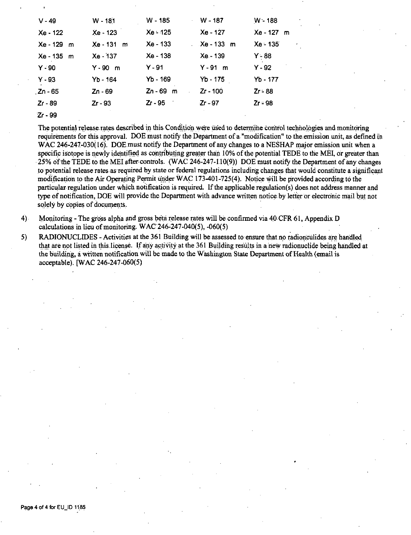| $V - 49$      | $W - 181$  | W - 185    | W - 187<br>÷. | $W - 188$    |  |
|---------------|------------|------------|---------------|--------------|--|
| Xe - 122      | Xe - 123   | $Xe - 125$ | Xe - 127      | $Xe - 127$ m |  |
| Xe - 129<br>m | Xe - 131 m | Xe - 133   | $Xe - 133$ m  | $Xe - 135$   |  |
| Xe - 135 m    | Xe - 137   | Xe - 138   | $Xe - 139$    | $Y - 88$     |  |
| $Y - 90$      | $Y - 90$ m | Y - 91     | $Y - 91$ m    | $Y - 92$     |  |
| $Y - 93$      | Yb - 164   | Yb - 169   | Yb - 175      | Yb - 177     |  |
| .Zn - 65      | Zn - 69    | Zn-69 m    | Zr - 100      | $Zr - 88$    |  |
| Zr - 89       | Zr - 93    | Zr - 95    | -Zr - 97      | $Zr - 98$    |  |
| $Zr - 99$     |            |            |               |              |  |

The potential release rates described in this Condition were used to determine control technologies and monitoring requirements for this approval. DOE must notify the Department of a "modification" to the emission unit, as defined in WAC 246-247-030(16). DOE must notify the Department of any changes to a NESHAP major emission unit when a specific isotope is newly identified as contributing greater than  $10\%$  of the potential TEDE to the MEI, or greater than 25% of the TEDE to the MEI after controls. (WAC 246-247-1.10(9)) DOE must notify the Department of any changes to potential release rates as required by state or federal regulations including changes that would constitute a significant modification to the Air Operating Permit under WAC 173-401-725(4). Notice will be provided according to the particular regulation under which notification is required. If the applicable regulation(s) does not address manner and type of notification, DOE will provide the Department with advance written notice by letter or electronic mail but not solely by copies of documents.

4) Monitoring - The gross alpha and gross beta release rates will be confirmed via 40 CFR 61, Appendix D calculations in lieu of monitoring. WAC 246-247-040(5),  $-060(5)$ 

5) RADIONUCLIDES - Activities at the 361 Building will be assessed to ensure that no radionculides are handled that are not listed in this license. If any activity at the 361 Building results in a new radionuclide being handled at the building, a written notification will be made to the Washington State Department of Health ( email is acceptable). [WAC 246-247-060(5)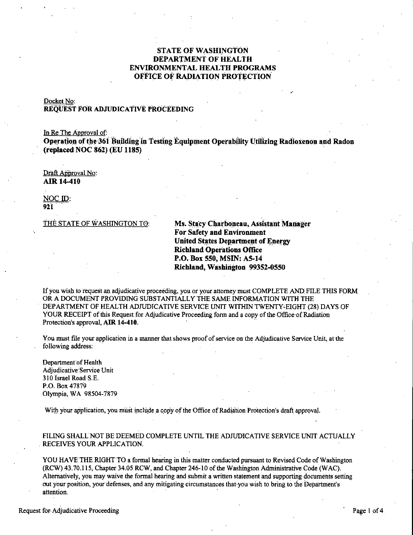## **STATE OF WASHINGTON DEPARTMENT OF HEALTH ENVIRONMENTAL HEALTH PROGRAMS OFFICE OF RADIATION PROTECTION**

### Docket No: REOUEST FOR ADJUDICATIVE PROCEEDING

In Re The Approval of: Operation of the 361 Building in Testing Equipment Operability Utilizing Radioxenon and Radon (replaced NOC 862) (EU 1185)

## Draft Approval No: **AIR 14-410**

NOC ID: 92 Ï

THE STATE OF WASHINGTON TO:

Ms. Stacy Charboneau, Assistant Manager **For Safety and Environment United States Department of Energy Richland Operations Office** P.O. Box 550, MSIN: A5-14 Richland, Washington 99352-0550

If you wish to request an adjudicative proceeding, you or your attorney must COMPLETE AND FILE THIS FORM OR A DOCUMENT PROVIDING SUBSTANTIALLY THE SAME INFORMATION WITH THE DEPARTMENT OF HEALTH ADJUDICATIVE SERVICE UNIT WITHIN TWENTY-EIGHT (28) DAYS OF YOUR RECEIPT of this Request for Adjudicative Proceeding form and a copy of the Office of Radiation Protection's approval, AIR 14-410.

You must file your application in a manner that shows proof of service on the Adjudicative Service Unit, at the following address:

Department of Health **Adjudicative Service Unit** 310 Israel Road S.E. P.O. Box 47879 Olympia, WA 98504-7879

With your application, you must include a copy of the Office of Radiation Protection's draft approval.

## FILING SHALL NOT BE DEEMED COMPLETE UNTIL THE ADJUDICATIVE SERVICE UNIT ACTUALLY RECEIVES YOUR APPLICATION.

YOU HAVE THE RIGHT TO a formal hearing in this matter conducted pursuant to Revised Code of Washington (RCW) 43.70.115, Chapter 34.05 RCW, and Chapter 246-10 of the Washington Administrative Code (WAC). Alternatively, you may waive the formal hearing and submit a written statement and supporting documents setting out your position, your defenses, and any mitigating circumstances that you wish to bring to the Department's attention.

Request for Adjudicative Proceeding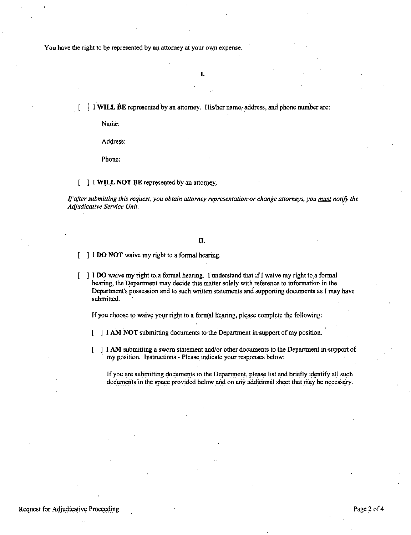You have the right to be represented by an attorney at your own expense.

[ ] I **WILL BE** represented by an attorney. His/her name,.address, and phone number are:·

**~a.me:** 

Address:

Phone:

[ ] I **WILL NOT BE** represented by an attorney.

*Ifafier submitting this request, you obtain attorney representation or change attorneys, you.must notify the*  Adjudicative Service Unit.

#### **II.**

I **DO NOT** waive my right to a formal hearing.

] I **00** waive my right to a formal hearing. I understand that if! waive my right to.a formal hearing, the Department may decide this matter solely with reference to information in the Department's possession and to such written statements and supporting documents as I may have submitted.

If you choose to waive your right to a formal hearing, please complete the following:

- I **AM NOT** submitting documents to the Department in support of my position.
- I **AM** submitting a sworn statement and/or other documents to the Department in support of  $\mathsf{L}$ my position. Instructions - Please indicate your responses below:

If you are submitting documents to the Department, please list and briefly identify all such documents in the space provided below and on any additional sheet that may be necessary.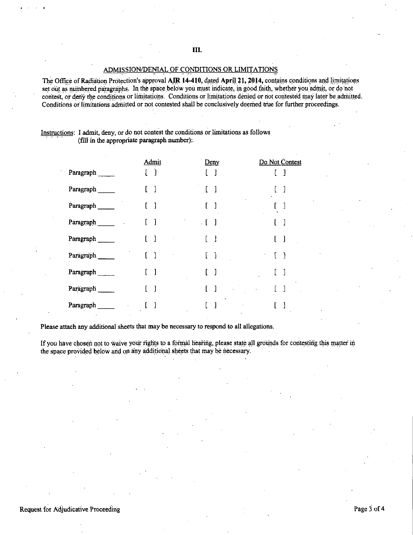#### ADMISSION/DENIAL OF CONDITIONS OR LIMITATIONS

The Office of Radiation Protection's approval AIR 14-410, dated April 21, 2014, contains conditions and limitations set out as numbered paragraphs. In the space below you must indicate, in good faith, whether you admit, or do not contest, or deny the conditions or limitations. Conditions or limitations denied or not contested may later be admitted. Conditions or limitations admitted or not contested shall be conclusively deemed true for further proceedings.

## Instructions: I admit, deny, or do not contest the conditions or limitations as follows (fill in the appropriate paragraph number):

|            | <b>Admit</b> | Deny                              | Do Not Contest    |
|------------|--------------|-----------------------------------|-------------------|
| Paragraph  |              | ]                                 |                   |
| Paragraph  |              | $\begin{bmatrix} 1 \end{bmatrix}$ | - 1               |
| Paragraph  | I            |                                   |                   |
| Paragraph  | 1            |                                   |                   |
| Paragraph  | $\mathbf{1}$ | -1                                | $\mathbf{I}$<br>L |
| Paragraph  | $\mathbf{1}$ | $\begin{bmatrix} 1 \end{bmatrix}$ | -1                |
| Paragraph_ |              |                                   |                   |
| Paragraph  |              |                                   |                   |
| Paragraph  |              |                                   |                   |

Please attach any additional sheets that may be necessary to respond to all allegations.

If you have chosen not to waive your rights to a formal hearing, please state all grounds for contesting this matter in the space provided below and on any additional sheets that may be necessary.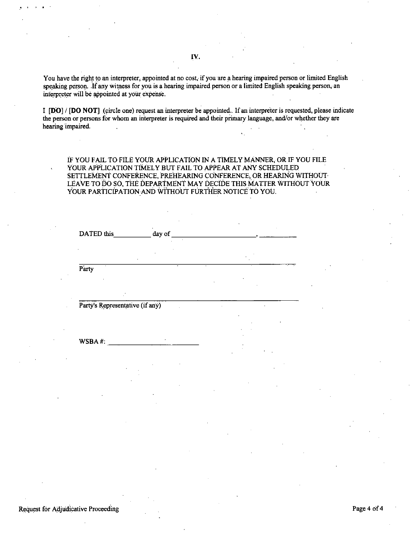You have the right to an interpreter, appointed at no cost, if you are a hearing impaired person or limited English speaking person. If any witness for you is a hearing impaired person or a limited English speaking person, an interpreter will be appointed at your expense.

I **[DO]/ [DO NOT]** (circle one) request an interpreter be appointed .. If an interpreter is requested, please indicate the person or persons for whom an interpreter is required and their primary language, and/or whether they are hearing impaired.

IF YOU FAIL TO FILE YOUR APPLICATION IN A TIMELY MANNER, OR IF YOU FILE YOUR APPLICATION TIMELY BUT FAIL TO APPEAR AT ANY SCHEDULED SETTLEMENT CONFERENCE, PREHEARING CONFERENCE; OR HEARING WITHOUT LEAVE TO DO SO, THE DEPARTMENT MAY DECIDE THIS MATTER WITHOUT YOUR YOUR PARTICIPATION AND WITHOUT FURTHER NOTICE TO YOU.

| DATED this  | day of<br>٠ |   |        |  |
|-------------|-------------|---|--------|--|
| $\sim$<br>٠ |             |   |        |  |
| Party       | ٠           | ٠ | ۰<br>٠ |  |

Party's Representative (if any)

WSBA #:  $\frac{1}{2}$